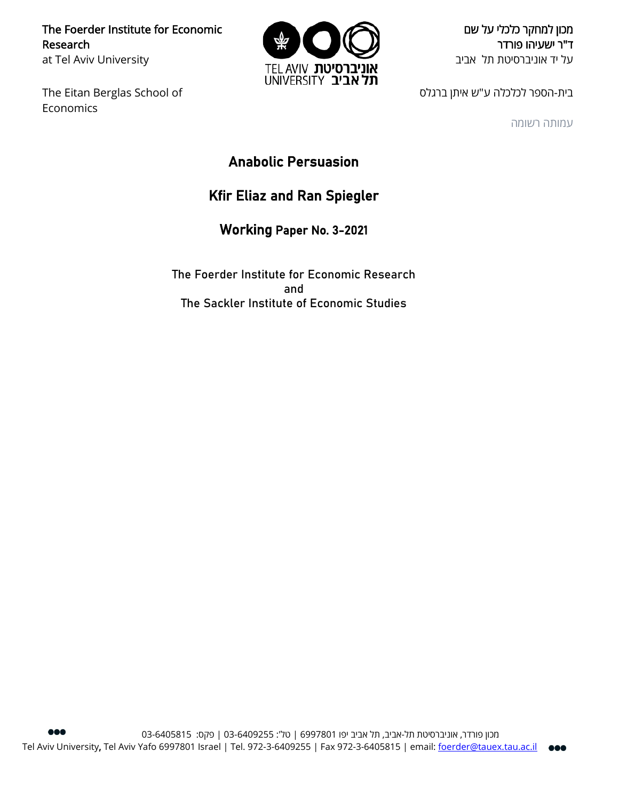The Foerder Institute for Economic Research at Tel Aviv University

The Eitan Berglas School of Economics



מכון למחקר כלכלי על שם ד"ר ישעיהו פורדר על יד אוניברסיטת תל אביב

בית-הספר לכלכלה ע"ש איתן ברגלס

עמותה רשומה

Anabolic Persuasion

# Kfir Eliaz and Ran Spiegler

Working Paper No. 3-2021

The Foerder Institute for Economic Research and The Sackler Institute of Economic Studies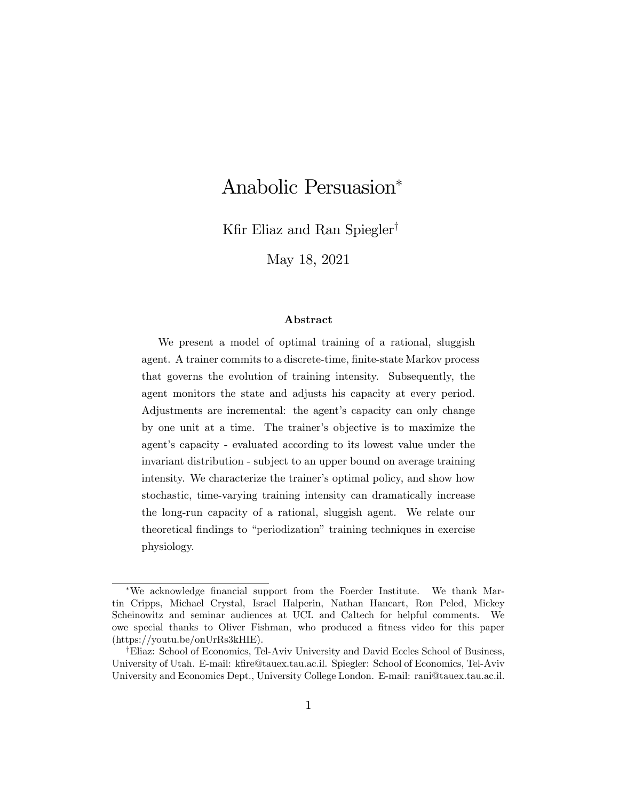# Anabolic Persuasion

Kfir Eliaz and Ran Spiegler<sup>†</sup>

May 18, 2021

#### Abstract

We present a model of optimal training of a rational, sluggish agent. A trainer commits to a discrete-time, finite-state Markov process that governs the evolution of training intensity. Subsequently, the agent monitors the state and adjusts his capacity at every period. Adjustments are incremental: the agent's capacity can only change by one unit at a time. The trainer's objective is to maximize the agent's capacity - evaluated according to its lowest value under the invariant distribution - subject to an upper bound on average training intensity. We characterize the trainer's optimal policy, and show how stochastic, time-varying training intensity can dramatically increase the long-run capacity of a rational, sluggish agent. We relate our theoretical findings to "periodization" training techniques in exercise physiology.

<sup>\*</sup>We acknowledge financial support from the Foerder Institute. We thank Martin Cripps, Michael Crystal, Israel Halperin, Nathan Hancart, Ron Peled, Mickey Scheinowitz and seminar audiences at UCL and Caltech for helpful comments. We owe special thanks to Oliver Fishman, who produced a fitness video for this paper (https://youtu.be/onUrRs3kHIE).

<sup>&</sup>lt;sup>†</sup>Eliaz: School of Economics, Tel-Aviv University and David Eccles School of Business, University of Utah. E-mail: kfire@tauex.tau.ac.il. Spiegler: School of Economics, Tel-Aviv University and Economics Dept., University College London. E-mail: rani@tauex.tau.ac.il.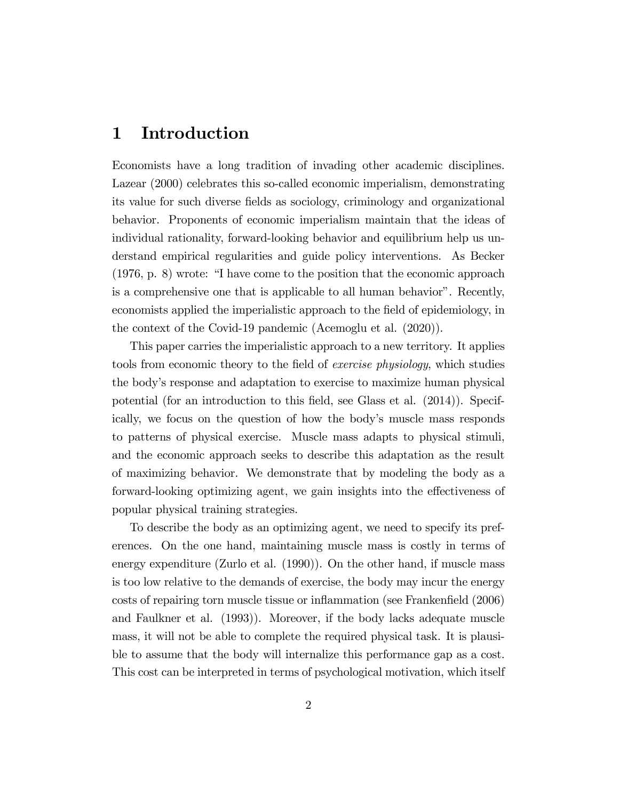### 1 Introduction

Economists have a long tradition of invading other academic disciplines. Lazear (2000) celebrates this so-called economic imperialism, demonstrating its value for such diverse fields as sociology, criminology and organizational behavior. Proponents of economic imperialism maintain that the ideas of individual rationality, forward-looking behavior and equilibrium help us understand empirical regularities and guide policy interventions. As Becker  $(1976, p. 8)$  wrote: "I have come to the position that the economic approach is a comprehensive one that is applicable to all human behavior". Recently, economists applied the imperialistic approach to the field of epidemiology, in the context of the Covid-19 pandemic (Acemoglu et al. (2020)).

This paper carries the imperialistic approach to a new territory. It applies tools from economic theory to the field of *exercise physiology*, which studies the body's response and adaptation to exercise to maximize human physical potential (for an introduction to this Öeld, see Glass et al. (2014)). Specifically, we focus on the question of how the body's muscle mass responds to patterns of physical exercise. Muscle mass adapts to physical stimuli, and the economic approach seeks to describe this adaptation as the result of maximizing behavior. We demonstrate that by modeling the body as a forward-looking optimizing agent, we gain insights into the effectiveness of popular physical training strategies.

To describe the body as an optimizing agent, we need to specify its preferences. On the one hand, maintaining muscle mass is costly in terms of energy expenditure (Zurlo et al. (1990)). On the other hand, if muscle mass is too low relative to the demands of exercise, the body may incur the energy costs of repairing torn muscle tissue or inflammation (see Frankenfield (2006) and Faulkner et al. (1993)). Moreover, if the body lacks adequate muscle mass, it will not be able to complete the required physical task. It is plausible to assume that the body will internalize this performance gap as a cost. This cost can be interpreted in terms of psychological motivation, which itself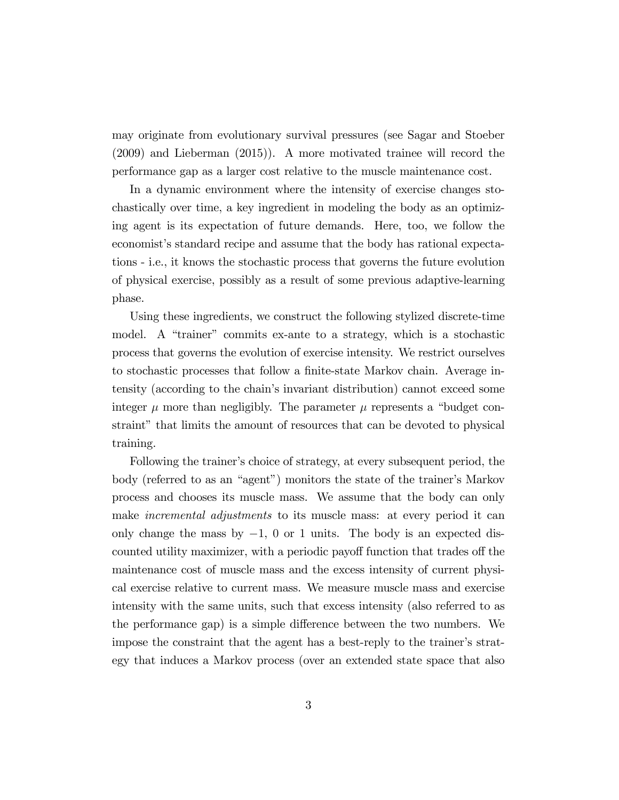may originate from evolutionary survival pressures (see Sagar and Stoeber (2009) and Lieberman (2015)). A more motivated trainee will record the performance gap as a larger cost relative to the muscle maintenance cost.

In a dynamic environment where the intensity of exercise changes stochastically over time, a key ingredient in modeling the body as an optimizing agent is its expectation of future demands. Here, too, we follow the economist's standard recipe and assume that the body has rational expectations - i.e., it knows the stochastic process that governs the future evolution of physical exercise, possibly as a result of some previous adaptive-learning phase.

Using these ingredients, we construct the following stylized discrete-time model. A "trainer" commits ex-ante to a strategy, which is a stochastic process that governs the evolution of exercise intensity. We restrict ourselves to stochastic processes that follow a finite-state Markov chain. Average intensity (according to the chainís invariant distribution) cannot exceed some integer  $\mu$  more than negligibly. The parameter  $\mu$  represents a "budget constraint" that limits the amount of resources that can be devoted to physical training.

Following the trainer's choice of strategy, at every subsequent period, the body (referred to as an "agent") monitors the state of the trainer's Markov process and chooses its muscle mass. We assume that the body can only make *incremental adjustments* to its muscle mass: at every period it can only change the mass by  $-1$ , 0 or 1 units. The body is an expected discounted utility maximizer, with a periodic payoff function that trades of the maintenance cost of muscle mass and the excess intensity of current physical exercise relative to current mass. We measure muscle mass and exercise intensity with the same units, such that excess intensity (also referred to as the performance gap) is a simple difference between the two numbers. We impose the constraint that the agent has a best-reply to the trainer's strategy that induces a Markov process (over an extended state space that also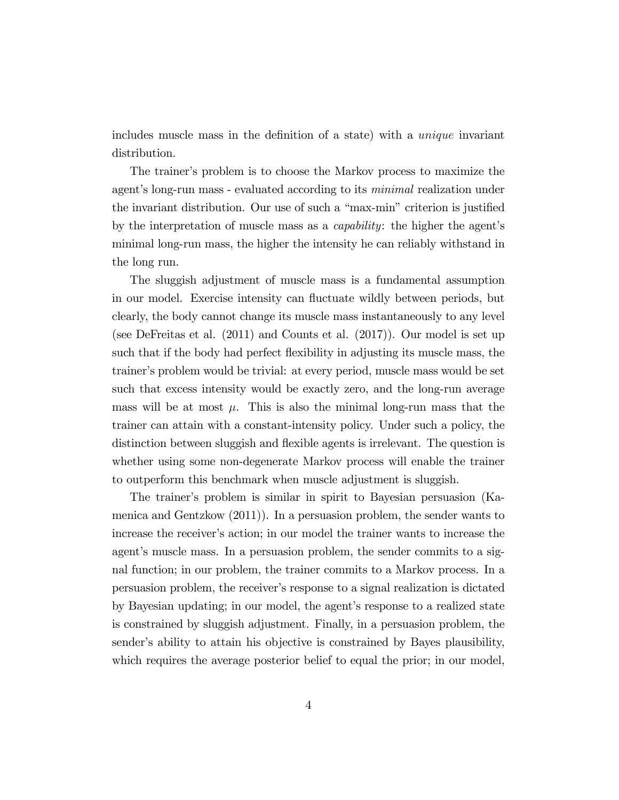includes muscle mass in the definition of a state) with a *unique* invariant distribution.

The trainer's problem is to choose the Markov process to maximize the agent's long-run mass - evaluated according to its *minimal* realization under the invariant distribution. Our use of such a "max-min" criterion is justified by the interpretation of muscle mass as a *capability*: the higher the agent's minimal long-run mass, the higher the intensity he can reliably withstand in the long run.

The sluggish adjustment of muscle mass is a fundamental assumption in our model. Exercise intensity can fluctuate wildly between periods, but clearly, the body cannot change its muscle mass instantaneously to any level (see DeFreitas et al. (2011) and Counts et al. (2017)). Our model is set up such that if the body had perfect flexibility in adjusting its muscle mass, the trainerís problem would be trivial: at every period, muscle mass would be set such that excess intensity would be exactly zero, and the long-run average mass will be at most  $\mu$ . This is also the minimal long-run mass that the trainer can attain with a constant-intensity policy. Under such a policy, the distinction between sluggish and flexible agents is irrelevant. The question is whether using some non-degenerate Markov process will enable the trainer to outperform this benchmark when muscle adjustment is sluggish.

The trainerís problem is similar in spirit to Bayesian persuasion (Kamenica and Gentzkow (2011)). In a persuasion problem, the sender wants to increase the receiver's action; in our model the trainer wants to increase the agent's muscle mass. In a persuasion problem, the sender commits to a signal function; in our problem, the trainer commits to a Markov process. In a persuasion problem, the receiverís response to a signal realization is dictated by Bayesian updating; in our model, the agent's response to a realized state is constrained by sluggish adjustment. Finally, in a persuasion problem, the sender's ability to attain his objective is constrained by Bayes plausibility, which requires the average posterior belief to equal the prior; in our model,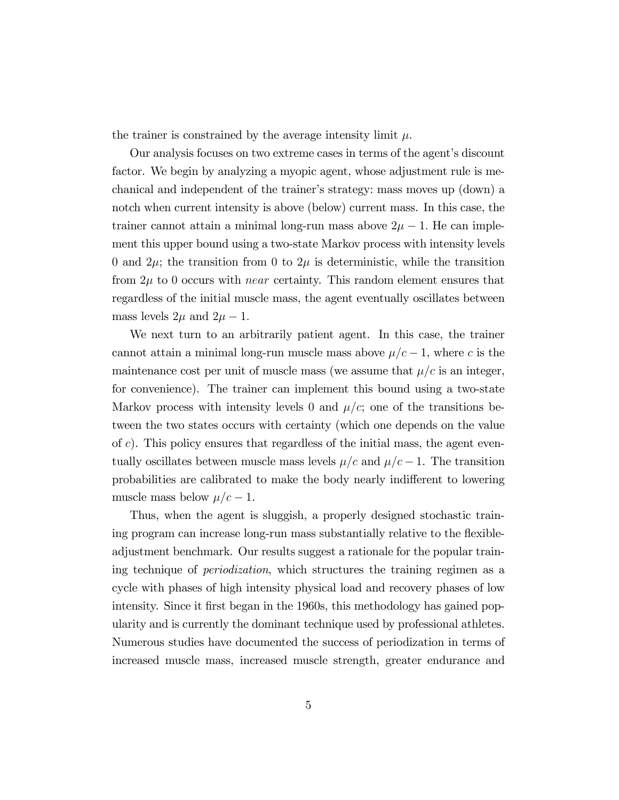the trainer is constrained by the average intensity limit  $\mu$ .

Our analysis focuses on two extreme cases in terms of the agent's discount factor. We begin by analyzing a myopic agent, whose adjustment rule is mechanical and independent of the trainer's strategy: mass moves up (down) a notch when current intensity is above (below) current mass. In this case, the trainer cannot attain a minimal long-run mass above  $2\mu - 1$ . He can implement this upper bound using a two-state Markov process with intensity levels 0 and  $2\mu$ ; the transition from 0 to  $2\mu$  is deterministic, while the transition from  $2\mu$  to 0 occurs with *near* certainty. This random element ensures that regardless of the initial muscle mass, the agent eventually oscillates between mass levels  $2\mu$  and  $2\mu - 1$ .

We next turn to an arbitrarily patient agent. In this case, the trainer cannot attain a minimal long-run muscle mass above  $\mu/c - 1$ , where c is the maintenance cost per unit of muscle mass (we assume that  $\mu/c$  is an integer, for convenience). The trainer can implement this bound using a two-state Markov process with intensity levels 0 and  $\mu/c$ ; one of the transitions between the two states occurs with certainty (which one depends on the value of  $c$ ). This policy ensures that regardless of the initial mass, the agent eventually oscillates between muscle mass levels  $\mu/c$  and  $\mu/c - 1$ . The transition probabilities are calibrated to make the body nearly indifferent to lowering muscle mass below  $\mu/c - 1$ .

Thus, when the agent is sluggish, a properly designed stochastic training program can increase long-run mass substantially relative to the flexibleadjustment benchmark. Our results suggest a rationale for the popular training technique of periodization, which structures the training regimen as a cycle with phases of high intensity physical load and recovery phases of low intensity. Since it first began in the 1960s, this methodology has gained popularity and is currently the dominant technique used by professional athletes. Numerous studies have documented the success of periodization in terms of increased muscle mass, increased muscle strength, greater endurance and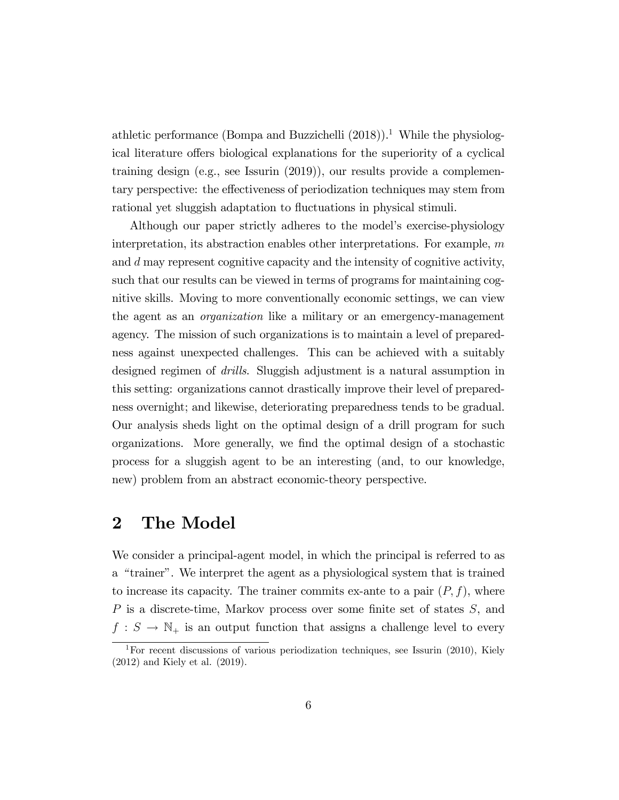athletic performance (Bompa and Buzzichelli  $(2018)$ ).<sup>1</sup> While the physiological literature offers biological explanations for the superiority of a cyclical training design (e.g., see Issurin (2019)), our results provide a complementary perspective: the effectiveness of periodization techniques may stem from rational yet sluggish adaptation to fluctuations in physical stimuli.

Although our paper strictly adheres to the model's exercise-physiology interpretation, its abstraction enables other interpretations. For example, m and d may represent cognitive capacity and the intensity of cognitive activity, such that our results can be viewed in terms of programs for maintaining cognitive skills. Moving to more conventionally economic settings, we can view the agent as an organization like a military or an emergency-management agency. The mission of such organizations is to maintain a level of preparedness against unexpected challenges. This can be achieved with a suitably designed regimen of *drills*. Sluggish adjustment is a natural assumption in this setting: organizations cannot drastically improve their level of preparedness overnight; and likewise, deteriorating preparedness tends to be gradual. Our analysis sheds light on the optimal design of a drill program for such organizations. More generally, we Önd the optimal design of a stochastic process for a sluggish agent to be an interesting (and, to our knowledge, new) problem from an abstract economic-theory perspective.

### 2 The Model

We consider a principal-agent model, in which the principal is referred to as a "trainer". We interpret the agent as a physiological system that is trained to increase its capacity. The trainer commits ex-ante to a pair  $(P, f)$ , where  $P$  is a discrete-time, Markov process over some finite set of states  $S$ , and  $f: S \to \mathbb{N}_+$  is an output function that assigns a challenge level to every

<sup>&</sup>lt;sup>1</sup>For recent discussions of various periodization techniques, see Issurin (2010), Kiely (2012) and Kiely et al. (2019).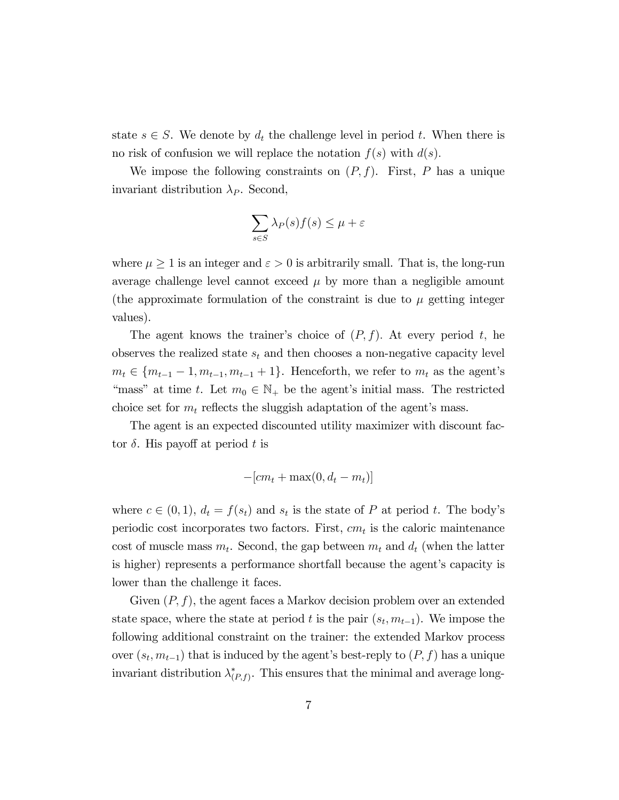state  $s \in S$ . We denote by  $d_t$  the challenge level in period t. When there is no risk of confusion we will replace the notation  $f(s)$  with  $d(s)$ .

We impose the following constraints on  $(P, f)$ . First, P has a unique invariant distribution  $\lambda_P$ . Second,

$$
\sum_{s \in S} \lambda_P(s) f(s) \le \mu + \varepsilon
$$

where  $\mu \geq 1$  is an integer and  $\varepsilon > 0$  is arbitrarily small. That is, the long-run average challenge level cannot exceed  $\mu$  by more than a negligible amount (the approximate formulation of the constraint is due to  $\mu$  getting integer values).

The agent knows the trainer's choice of  $(P, f)$ . At every period t, he observes the realized state  $s_t$  and then chooses a non-negative capacity level  $m_t \in \{m_{t-1} - 1, m_{t-1}, m_{t-1} + 1\}$ . Henceforth, we refer to  $m_t$  as the agent's "mass" at time t. Let  $m_0 \in \mathbb{N}_+$  be the agent's initial mass. The restricted choice set for  $m_t$  reflects the sluggish adaptation of the agent's mass.

The agent is an expected discounted utility maximizer with discount factor  $\delta$ . His payoff at period t is

$$
-[cm_t + \max(0, d_t - m_t)]
$$

where  $c \in (0, 1)$ ,  $d_t = f(s_t)$  and  $s_t$  is the state of P at period t. The body's periodic cost incorporates two factors. First,  $cm_t$  is the caloric maintenance cost of muscle mass  $m_t$ . Second, the gap between  $m_t$  and  $d_t$  (when the latter is higher) represents a performance shortfall because the agent's capacity is lower than the challenge it faces.

Given  $(P, f)$ , the agent faces a Markov decision problem over an extended state space, where the state at period t is the pair  $(s_t, m_{t-1})$ . We impose the following additional constraint on the trainer: the extended Markov process over  $(s_t, m_{t-1})$  that is induced by the agent's best-reply to  $(P, f)$  has a unique invariant distribution  $\lambda^*_{(P,f)}$ . This ensures that the minimal and average long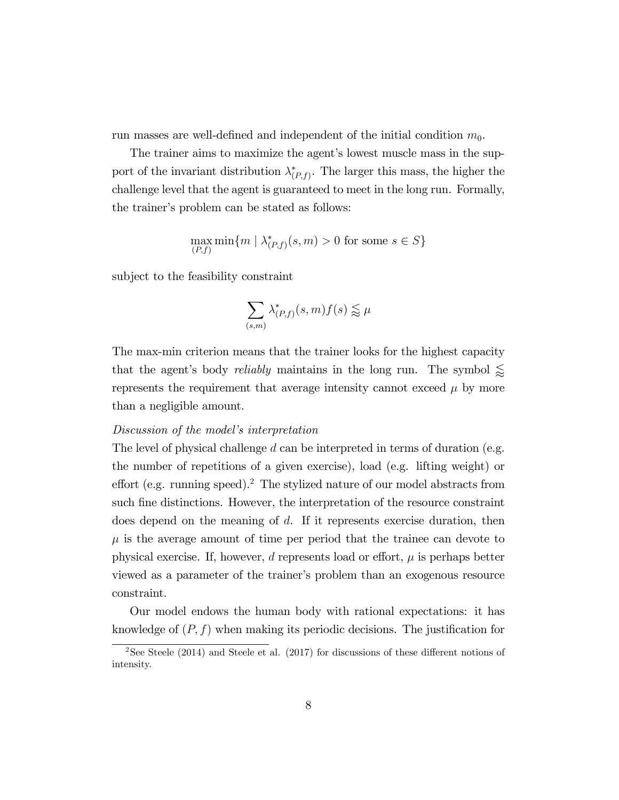run masses are well-defined and independent of the initial condition  $m_0$ .

The trainer aims to maximize the agent's lowest muscle mass in the support of the invariant distribution  $\lambda^*_{(P,f)}$ . The larger this mass, the higher the challenge level that the agent is guaranteed to meet in the long run. Formally, the trainer's problem can be stated as follows:

$$
\max_{(P,f)} \min\{m \mid \lambda^*_{(P,f)}(s,m) > 0 \text{ for some } s \in S\}
$$

subject to the feasibility constraint

$$
\sum_{(s,m)} \lambda_{(P,f)}^*(s,m) f(s) \lessapprox \mu
$$

The max-min criterion means that the trainer looks for the highest capacity that the agent's body *reliably* maintains in the long run. The symbol  $\lessapprox$ represents the requirement that average intensity cannot exceed  $\mu$  by more than a negligible amount.

#### Discussion of the model's interpretation

The level of physical challenge d can be interpreted in terms of duration (e.g. the number of repetitions of a given exercise), load (e.g. lifting weight) or effort (e.g. running speed).<sup>2</sup> The stylized nature of our model abstracts from such fine distinctions. However, the interpretation of the resource constraint does depend on the meaning of d. If it represents exercise duration, then  $\mu$  is the average amount of time per period that the trainee can devote to physical exercise. If, however, d represents load or effort,  $\mu$  is perhaps better viewed as a parameter of the trainer's problem than an exogenous resource constraint.

Our model endows the human body with rational expectations: it has knowledge of  $(P, f)$  when making its periodic decisions. The justification for

<sup>&</sup>lt;sup>2</sup>See Steele (2014) and Steele et al. (2017) for discussions of these different notions of intensity.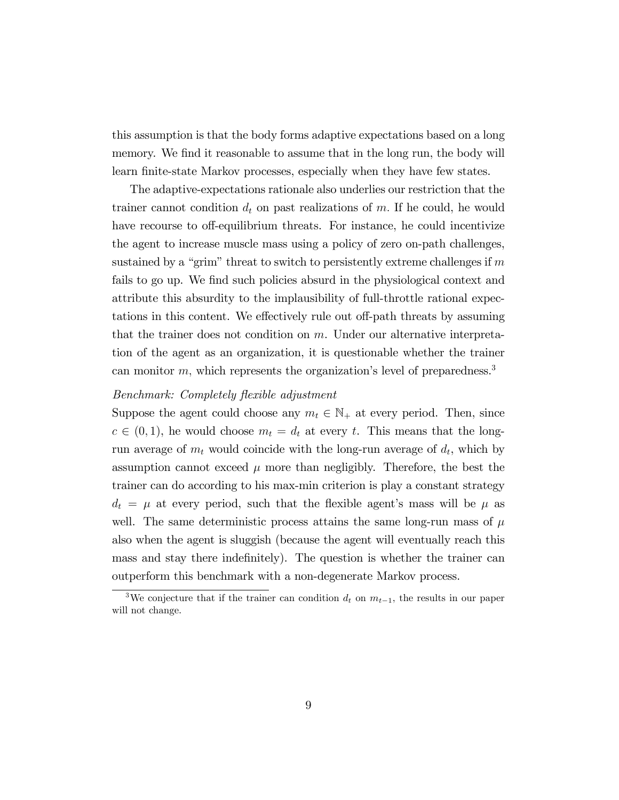this assumption is that the body forms adaptive expectations based on a long memory. We find it reasonable to assume that in the long run, the body will learn finite-state Markov processes, especially when they have few states.

The adaptive-expectations rationale also underlies our restriction that the trainer cannot condition  $d_t$  on past realizations of m. If he could, he would have recourse to off-equilibrium threats. For instance, he could incentivize the agent to increase muscle mass using a policy of zero on-path challenges, sustained by a "grim" threat to switch to persistently extreme challenges if  $m$ fails to go up. We find such policies absurd in the physiological context and attribute this absurdity to the implausibility of full-throttle rational expectations in this content. We effectively rule out off-path threats by assuming that the trainer does not condition on m. Under our alternative interpretation of the agent as an organization, it is questionable whether the trainer can monitor  $m$ , which represents the organization's level of preparedness.<sup>3</sup>

#### Benchmark: Completely flexible adjustment

Suppose the agent could choose any  $m_t \in \mathbb{N}_+$  at every period. Then, since  $c \in (0, 1)$ , he would choose  $m_t = d_t$  at every t. This means that the longrun average of  $m_t$  would coincide with the long-run average of  $d_t$ , which by assumption cannot exceed  $\mu$  more than negligibly. Therefore, the best the trainer can do according to his max-min criterion is play a constant strategy  $d_t = \mu$  at every period, such that the flexible agent's mass will be  $\mu$  as well. The same deterministic process attains the same long-run mass of  $\mu$ also when the agent is sluggish (because the agent will eventually reach this mass and stay there indefinitely). The question is whether the trainer can outperform this benchmark with a non-degenerate Markov process.

<sup>&</sup>lt;sup>3</sup>We conjecture that if the trainer can condition  $d_t$  on  $m_{t-1}$ , the results in our paper will not change.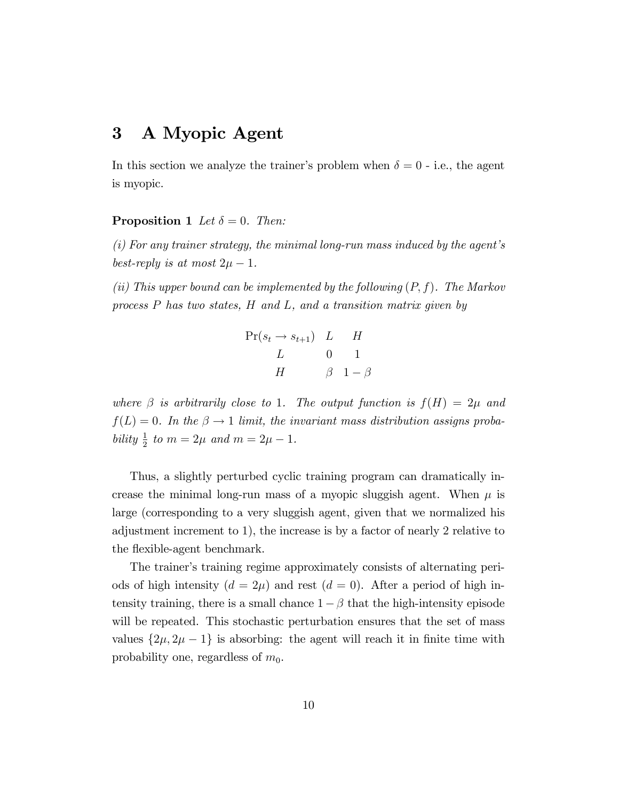### 3 A Myopic Agent

In this section we analyze the trainer's problem when  $\delta = 0$  - i.e., the agent is myopic.

#### **Proposition 1** Let  $\delta = 0$ . Then:

 $(i)$  For any trainer strategy, the minimal long-run mass induced by the agent's best-reply is at most  $2\mu - 1$ .

(ii) This upper bound can be implemented by the following  $(P, f)$ . The Markov process P has two states, H and L, and a transition matrix given by

| $Pr(s_t \rightarrow s_{t+1})$ L H |                     |
|-----------------------------------|---------------------|
| $L = \pm 1$                       | $(1)$ 1             |
| H                                 | $\beta$ 1 - $\beta$ |

where  $\beta$  is arbitrarily close to 1. The output function is  $f(H) = 2\mu$  and  $f(L) = 0$ . In the  $\beta \rightarrow 1$  limit, the invariant mass distribution assigns probability  $\frac{1}{2}$  to  $m = 2\mu$  and  $m = 2\mu - 1$ .

Thus, a slightly perturbed cyclic training program can dramatically increase the minimal long-run mass of a myopic sluggish agent. When  $\mu$  is large (corresponding to a very sluggish agent, given that we normalized his adjustment increment to 1), the increase is by a factor of nearly 2 relative to the flexible-agent benchmark.

The trainer's training regime approximately consists of alternating periods of high intensity  $(d = 2\mu)$  and rest  $(d = 0)$ . After a period of high intensity training, there is a small chance  $1 - \beta$  that the high-intensity episode will be repeated. This stochastic perturbation ensures that the set of mass values  $\{2\mu, 2\mu - 1\}$  is absorbing: the agent will reach it in finite time with probability one, regardless of  $m_0$ .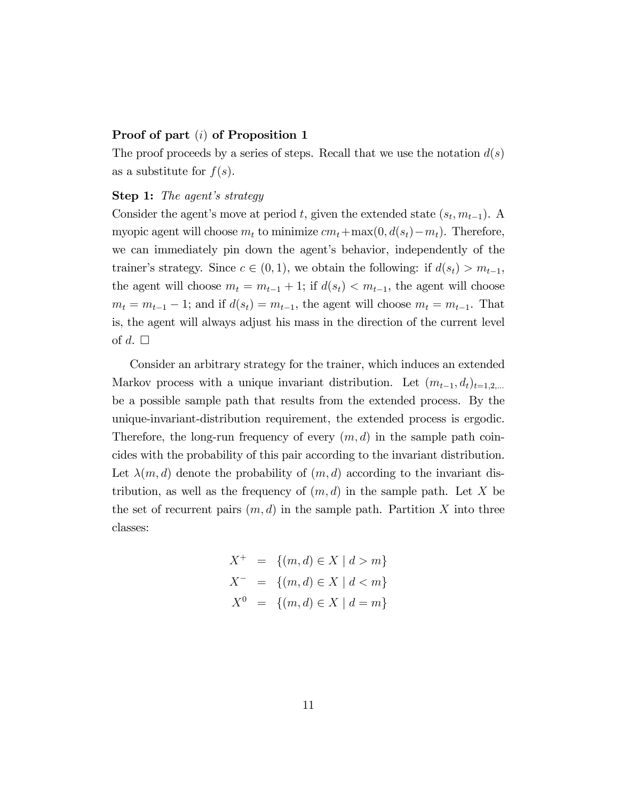#### Proof of part (i) of Proposition 1

The proof proceeds by a series of steps. Recall that we use the notation  $d(s)$ as a substitute for  $f(s)$ .

#### Step 1: The agent's strategy

Consider the agent's move at period t, given the extended state  $(s_t, m_{t-1})$ . A myopic agent will choose  $m_t$  to minimize  $cm_t+\max(0, d(s_t)-m_t)$ . Therefore, we can immediately pin down the agent's behavior, independently of the trainer's strategy. Since  $c \in (0, 1)$ , we obtain the following: if  $d(s_t) > m_{t-1}$ , the agent will choose  $m_t = m_{t-1} + 1$ ; if  $d(s_t) < m_{t-1}$ , the agent will choose  $m_t = m_{t-1} - 1$ ; and if  $d(s_t) = m_{t-1}$ , the agent will choose  $m_t = m_{t-1}$ . That is, the agent will always adjust his mass in the direction of the current level of d.  $\square$ 

Consider an arbitrary strategy for the trainer, which induces an extended Markov process with a unique invariant distribution. Let  $(m_{t-1}, d_t)_{t=1,2,...}$ be a possible sample path that results from the extended process. By the unique-invariant-distribution requirement, the extended process is ergodic. Therefore, the long-run frequency of every  $(m, d)$  in the sample path coincides with the probability of this pair according to the invariant distribution. Let  $\lambda(m, d)$  denote the probability of  $(m, d)$  according to the invariant distribution, as well as the frequency of  $(m, d)$  in the sample path. Let X be the set of recurrent pairs  $(m, d)$  in the sample path. Partition X into three classes:

$$
X^{+} = \{(m,d) \in X \mid d > m\}
$$
  

$$
X^{-} = \{(m,d) \in X \mid d < m\}
$$
  

$$
X^{0} = \{(m,d) \in X \mid d = m\}
$$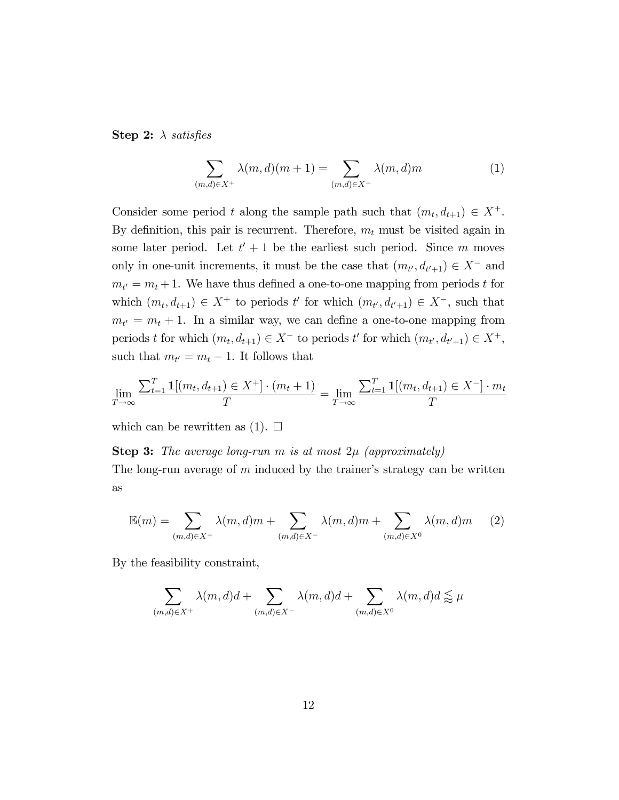**Step 2:**  $\lambda$  satisfies

$$
\sum_{(m,d)\in X^+} \lambda(m,d)(m+1) = \sum_{(m,d)\in X^-} \lambda(m,d)m \tag{1}
$$

Consider some period t along the sample path such that  $(m_t, d_{t+1}) \in X^+$ . By definition, this pair is recurrent. Therefore,  $m_t$  must be visited again in some later period. Let  $t' + 1$  be the earliest such period. Since m moves only in one-unit increments, it must be the case that  $(m_{t'}, d_{t'+1}) \in X^-$  and  $m_{t'} = m_t + 1$ . We have thus defined a one-to-one mapping from periods t for which  $(m_t, d_{t+1}) \in X^+$  to periods t' for which  $(m_{t'}, d_{t'+1}) \in X^-$ , such that  $m_{t'} = m_t + 1$ . In a similar way, we can define a one-to-one mapping from periods t for which  $(m_t, d_{t+1}) \in X^-$  to periods t' for which  $(m_{t'}, d_{t'+1}) \in X^+$ , such that  $m_{t'} = m_t - 1$ . It follows that

$$
\lim_{T \to \infty} \frac{\sum_{t=1}^{T} \mathbf{1}[(m_t, d_{t+1}) \in X^+] \cdot (m_t + 1)}{T} = \lim_{T \to \infty} \frac{\sum_{t=1}^{T} \mathbf{1}[(m_t, d_{t+1}) \in X^-] \cdot m_t}{T}
$$

which can be rewritten as  $(1)$ .  $\square$ 

#### **Step 3:** The average long-run m is at most  $2\mu$  (approximately)

The long-run average of  $m$  induced by the trainer's strategy can be written as

$$
\mathbb{E}(m) = \sum_{(m,d)\in X^+} \lambda(m,d)m + \sum_{(m,d)\in X^-} \lambda(m,d)m + \sum_{(m,d)\in X^0} \lambda(m,d)m \qquad (2)
$$

By the feasibility constraint,

$$
\sum_{(m,d)\in X^+} \lambda(m,d)d + \sum_{(m,d)\in X^-} \lambda(m,d)d + \sum_{(m,d)\in X^0} \lambda(m,d)d \lessapprox \mu
$$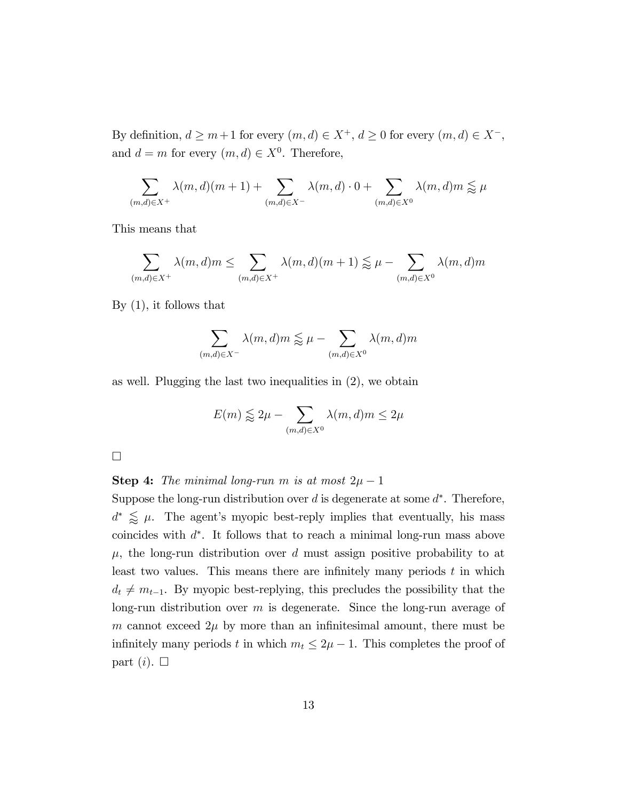By definition,  $d \ge m+1$  for every  $(m, d) \in X^+$ ,  $d \ge 0$  for every  $(m, d) \in X^-,$ and  $d = m$  for every  $(m, d) \in X^0$ . Therefore,

$$
\sum_{(m,d)\in X^+} \lambda(m,d)(m+1) + \sum_{(m,d)\in X^-} \lambda(m,d) \cdot 0 + \sum_{(m,d)\in X^0} \lambda(m,d)m \lessapprox \mu
$$

This means that

$$
\sum_{(m,d)\in X^+} \lambda(m,d)m \le \sum_{(m,d)\in X^+} \lambda(m,d)(m+1) \lessapprox \mu - \sum_{(m,d)\in X^0} \lambda(m,d)m
$$

By (1), it follows that

$$
\sum_{(m,d)\in X^{-}} \lambda(m,d)m \lessapprox \mu - \sum_{(m,d)\in X^{0}} \lambda(m,d)m
$$

as well. Plugging the last two inequalities in (2), we obtain

$$
E(m) \lessapprox 2\mu - \sum_{(m,d)\in X^0} \lambda(m,d)m \leq 2\mu
$$

**Step 4:** The minimal long-run m is at most  $2\mu - 1$ 

Suppose the long-run distribution over  $d$  is degenerate at some  $d^*$ . Therefore,  $d^* \leq \mu$ . The agent's myopic best-reply implies that eventually, his mass coincides with  $d^*$ . It follows that to reach a minimal long-run mass above  $\mu$ , the long-run distribution over d must assign positive probability to at least two values. This means there are infinitely many periods  $t$  in which  $d_t \neq m_{t-1}$ . By myopic best-replying, this precludes the possibility that the long-run distribution over  $m$  is degenerate. Since the long-run average of m cannot exceed  $2\mu$  by more than an infinitesimal amount, there must be infinitely many periods t in which  $m_t \leq 2\mu - 1$ . This completes the proof of part  $(i)$ .  $\square$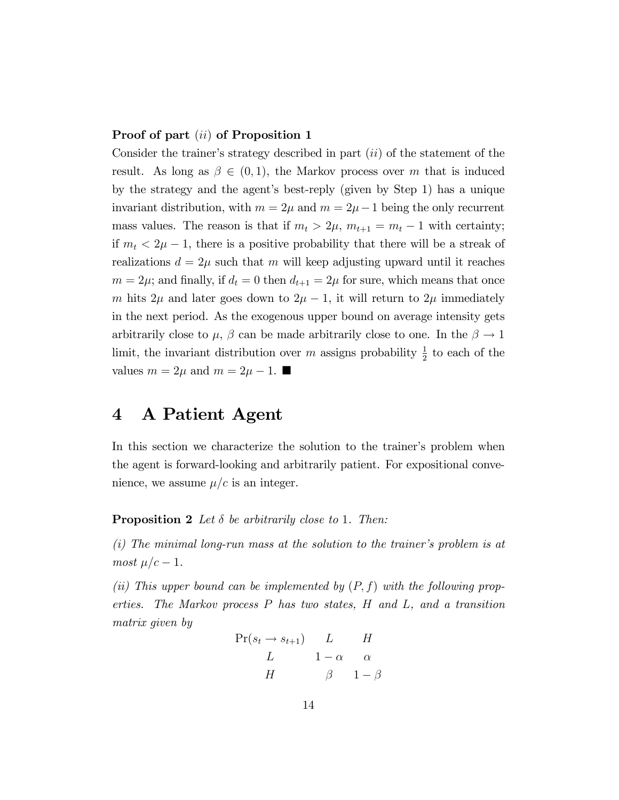#### Proof of part *(ii)* of Proposition 1

Consider the trainer's strategy described in part  $(ii)$  of the statement of the result. As long as  $\beta \in (0,1)$ , the Markov process over m that is induced by the strategy and the agentís best-reply (given by Step 1) has a unique invariant distribution, with  $m = 2\mu$  and  $m = 2\mu - 1$  being the only recurrent mass values. The reason is that if  $m_t > 2\mu$ ,  $m_{t+1} = m_t - 1$  with certainty; if  $m_t < 2\mu - 1$ , there is a positive probability that there will be a streak of realizations  $d = 2\mu$  such that m will keep adjusting upward until it reaches  $m = 2\mu$ ; and finally, if  $d_t = 0$  then  $d_{t+1} = 2\mu$  for sure, which means that once m hits  $2\mu$  and later goes down to  $2\mu - 1$ , it will return to  $2\mu$  immediately in the next period. As the exogenous upper bound on average intensity gets arbitrarily close to  $\mu$ ,  $\beta$  can be made arbitrarily close to one. In the  $\beta \rightarrow 1$ limit, the invariant distribution over m assigns probability  $\frac{1}{2}$  to each of the values  $m = 2\mu$  and  $m = 2\mu - 1$ .

### 4 A Patient Agent

In this section we characterize the solution to the trainer's problem when the agent is forward-looking and arbitrarily patient. For expositional convenience, we assume  $\mu/c$  is an integer.

**Proposition 2** Let  $\delta$  be arbitrarily close to 1. Then:

 $(i)$  The minimal long-run mass at the solution to the trainer's problem is at most  $\mu/c - 1$ .

(ii) This upper bound can be implemented by  $(P, f)$  with the following properties. The Markov process P has two states, H and L, and a transition matrix given by

$$
\Pr(s_t \to s_{t+1}) \quad L \quad H
$$
  
\n
$$
L \quad 1 - \alpha \quad \alpha
$$
  
\n
$$
H \quad \beta \quad 1 - \beta
$$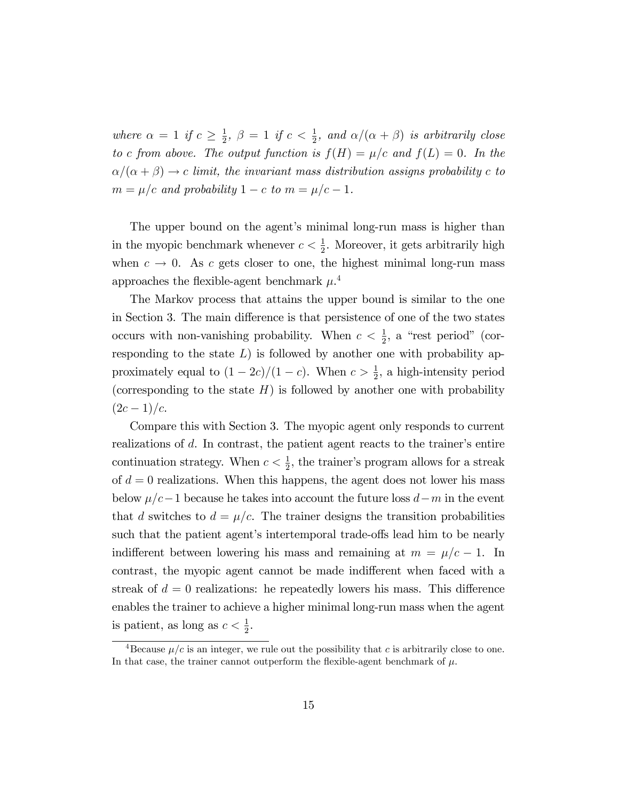where  $\alpha = 1$  if  $c \geq \frac{1}{2}$  $\frac{1}{2}$ ,  $\beta = 1$  if  $c < \frac{1}{2}$ , and  $\alpha/(\alpha + \beta)$  is arbitrarily close to c from above. The output function is  $f(H) = \mu/c$  and  $f(L) = 0$ . In the  $\alpha/(\alpha + \beta) \rightarrow c$  limit, the invariant mass distribution assigns probability c to  $m = \mu/c$  and probability  $1 - c$  to  $m = \mu/c - 1$ .

The upper bound on the agent's minimal long-run mass is higher than in the myopic benchmark whenever  $c < \frac{1}{2}$ . Moreover, it gets arbitrarily high when  $c \to 0$ . As c gets closer to one, the highest minimal long-run mass approaches the flexible-agent benchmark  $\mu$ <sup>4</sup>

The Markov process that attains the upper bound is similar to the one in Section 3. The main difference is that persistence of one of the two states occurs with non-vanishing probability. When  $c < \frac{1}{2}$ , a "rest period" (corresponding to the state  $L$ ) is followed by another one with probability approximately equal to  $(1 - 2c)/(1 - c)$ . When  $c > \frac{1}{2}$ , a high-intensity period (corresponding to the state  $H$ ) is followed by another one with probability  $(2c-1)/c$ .

Compare this with Section 3. The myopic agent only responds to current realizations of  $d$ . In contrast, the patient agent reacts to the trainer's entire continuation strategy. When  $c < \frac{1}{2}$ , the trainer's program allows for a streak of  $d = 0$  realizations. When this happens, the agent does not lower his mass below  $\mu/c-1$  because he takes into account the future loss  $d-m$  in the event that d switches to  $d = \mu/c$ . The trainer designs the transition probabilities such that the patient agent's intertemporal trade-offs lead him to be nearly indifferent between lowering his mass and remaining at  $m = \mu/c - 1$ . In contrast, the myopic agent cannot be made indifferent when faced with a streak of  $d = 0$  realizations: he repeatedly lowers his mass. This difference enables the trainer to achieve a higher minimal long-run mass when the agent is patient, as long as  $c < \frac{1}{2}$ .

<sup>&</sup>lt;sup>4</sup>Because  $\mu/c$  is an integer, we rule out the possibility that c is arbitrarily close to one. In that case, the trainer cannot outperform the flexible-agent benchmark of  $\mu$ .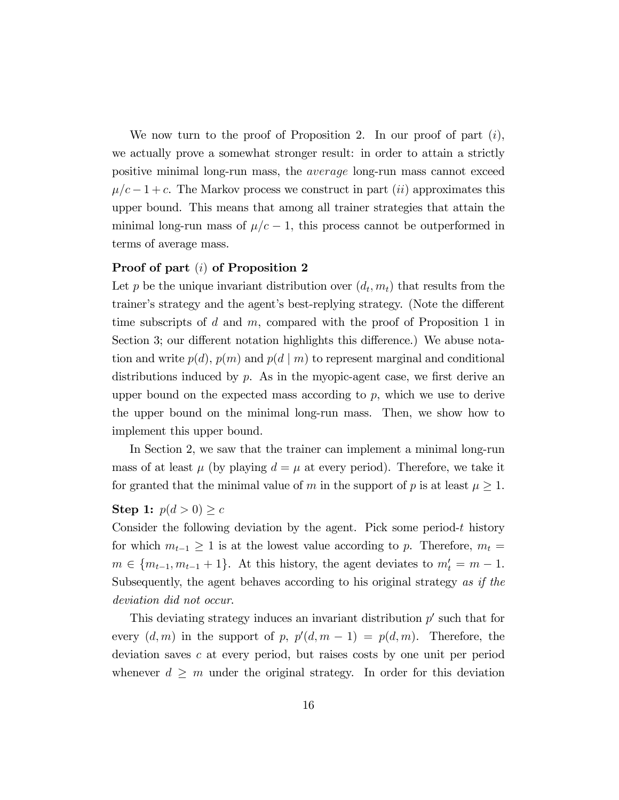We now turn to the proof of Proposition 2. In our proof of part  $(i)$ , we actually prove a somewhat stronger result: in order to attain a strictly positive minimal long-run mass, the average long-run mass cannot exceed  $\mu/c - 1 + c$ . The Markov process we construct in part *(ii)* approximates this upper bound. This means that among all trainer strategies that attain the minimal long-run mass of  $\mu/c - 1$ , this process cannot be outperformed in terms of average mass.

#### Proof of part (i) of Proposition 2

Let p be the unique invariant distribution over  $(d_t, m_t)$  that results from the trainer's strategy and the agent's best-replying strategy. (Note the different time subscripts of d and  $m$ , compared with the proof of Proposition 1 in Section 3; our different notation highlights this difference.) We abuse notation and write  $p(d)$ ,  $p(m)$  and  $p(d | m)$  to represent marginal and conditional distributions induced by  $p$ . As in the myopic-agent case, we first derive an upper bound on the expected mass according to  $p$ , which we use to derive the upper bound on the minimal long-run mass. Then, we show how to implement this upper bound.

In Section 2, we saw that the trainer can implement a minimal long-run mass of at least  $\mu$  (by playing  $d = \mu$  at every period). Therefore, we take it for granted that the minimal value of m in the support of p is at least  $\mu \geq 1$ .

#### Step 1:  $p(d > 0) \geq c$

Consider the following deviation by the agent. Pick some period-t history for which  $m_{t-1} \geq 1$  is at the lowest value according to p. Therefore,  $m_t =$  $m \in \{m_{t-1}, m_{t-1} + 1\}$ . At this history, the agent deviates to  $m'_t = m - 1$ . Subsequently, the agent behaves according to his original strategy as if the deviation did not occur.

This deviating strategy induces an invariant distribution  $p'$  such that for every  $(d, m)$  in the support of p,  $p'(d, m - 1) = p(d, m)$ . Therefore, the deviation saves c at every period, but raises costs by one unit per period whenever  $d \geq m$  under the original strategy. In order for this deviation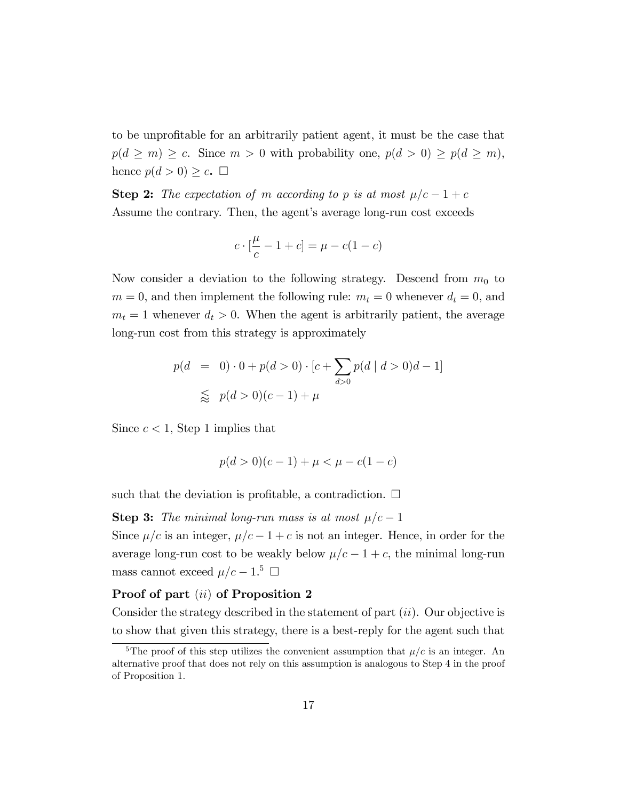to be unproÖtable for an arbitrarily patient agent, it must be the case that  $p(d \ge m) \ge c$ . Since  $m > 0$  with probability one,  $p(d > 0) \ge p(d \ge m)$ , hence  $p(d > 0) \geq c$ .  $\Box$ 

**Step 2:** The expectation of m according to p is at most  $\mu/c - 1 + c$ Assume the contrary. Then, the agent's average long-run cost exceeds

$$
c \cdot \left[\frac{\mu}{c} - 1 + c\right] = \mu - c(1 - c)
$$

Now consider a deviation to the following strategy. Descend from  $m_0$  to  $m = 0$ , and then implement the following rule:  $m_t = 0$  whenever  $d_t = 0$ , and  $m_t = 1$  whenever  $d_t > 0$ . When the agent is arbitrarily patient, the average long-run cost from this strategy is approximately

$$
p(d = 0) \cdot 0 + p(d > 0) \cdot [c + \sum_{d > 0} p(d \mid d > 0)d - 1]
$$
  
\$\leq\$  $p(d > 0)(c - 1) + \mu$ 

Since  $c < 1$ , Step 1 implies that

$$
p(d > 0)(c - 1) + \mu < \mu - c(1 - c)
$$

such that the deviation is profitable, a contradiction.  $\Box$ 

**Step 3:** The minimal long-run mass is at most  $\mu/c - 1$ 

Since  $\mu/c$  is an integer,  $\mu/c - 1 + c$  is not an integer. Hence, in order for the average long-run cost to be weakly below  $\mu/c - 1 + c$ , the minimal long-run mass cannot exceed  $\mu/c - 1.5$   $\Box$ 

#### Proof of part (ii) of Proposition 2

Consider the strategy described in the statement of part  $(ii)$ . Our objective is to show that given this strategy, there is a best-reply for the agent such that

<sup>&</sup>lt;sup>5</sup>The proof of this step utilizes the convenient assumption that  $\mu/c$  is an integer. An alternative proof that does not rely on this assumption is analogous to Step 4 in the proof of Proposition 1.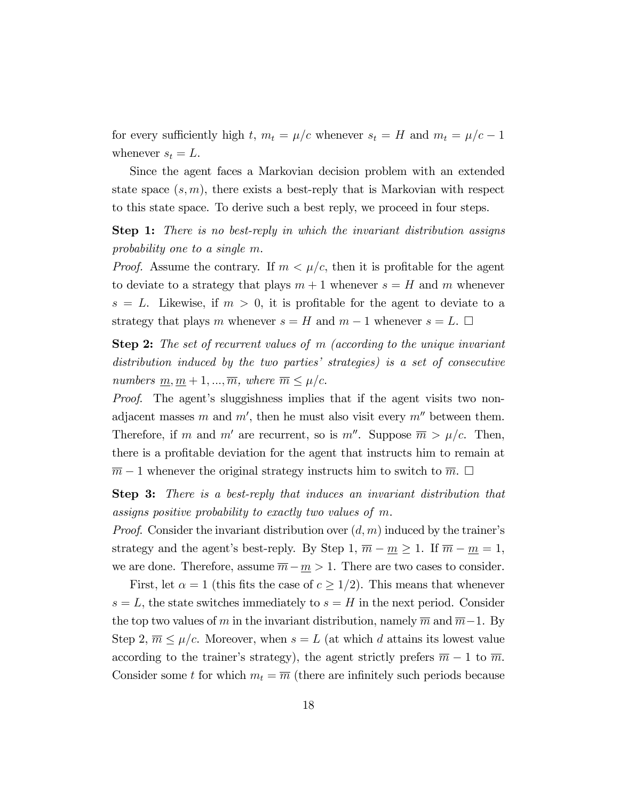for every sufficiently high t,  $m_t = \mu/c$  whenever  $s_t = H$  and  $m_t = \mu/c - 1$ whenever  $s_t = L$ .

Since the agent faces a Markovian decision problem with an extended state space  $(s, m)$ , there exists a best-reply that is Markovian with respect to this state space. To derive such a best reply, we proceed in four steps.

**Step 1:** There is no best-reply in which the invariant distribution assigns probability one to a single m.

*Proof.* Assume the contrary. If  $m < \mu/c$ , then it is profitable for the agent to deviate to a strategy that plays  $m + 1$  whenever  $s = H$  and m whenever  $s = L$ . Likewise, if  $m > 0$ , it is profitable for the agent to deviate to a strategy that plays m whenever  $s = H$  and  $m - 1$  whenever  $s = L$ .  $\Box$ 

Step 2: The set of recurrent values of m (according to the unique invariant distribution induced by the two parties' strategies) is a set of consecutive numbers  $\underline{m}, \underline{m} + 1, ..., \overline{m}$ , where  $\overline{m} \leq \mu/c$ .

*Proof.* The agent's sluggishness implies that if the agent visits two nonadjacent masses m and  $m'$ , then he must also visit every  $m''$  between them. Therefore, if m and m' are recurrent, so is  $m''$ . Suppose  $\overline{m} > \mu/c$ . Then, there is a proÖtable deviation for the agent that instructs him to remain at  $\overline{m}$  – 1 whenever the original strategy instructs him to switch to  $\overline{m}$ .  $\Box$ 

Step 3: There is a best-reply that induces an invariant distribution that assigns positive probability to exactly two values of m.

*Proof.* Consider the invariant distribution over  $(d, m)$  induced by the trainer's strategy and the agent's best-reply. By Step 1,  $\overline{m} - \underline{m} \ge 1$ . If  $\overline{m} - \underline{m} = 1$ , we are done. Therefore, assume  $\overline{m} - \underline{m} > 1$ . There are two cases to consider.

First, let  $\alpha = 1$  (this fits the case of  $c \geq 1/2$ ). This means that whenever  $s = L$ , the state switches immediately to  $s = H$  in the next period. Consider the top two values of m in the invariant distribution, namely  $\overline{m}$  and  $\overline{m-1}$ . By Step 2,  $\overline{m} \leq \mu/c$ . Moreover, when  $s = L$  (at which d attains its lowest value according to the trainer's strategy), the agent strictly prefers  $\overline{m} - 1$  to  $\overline{m}$ . Consider some t for which  $m_t = \overline{m}$  (there are infinitely such periods because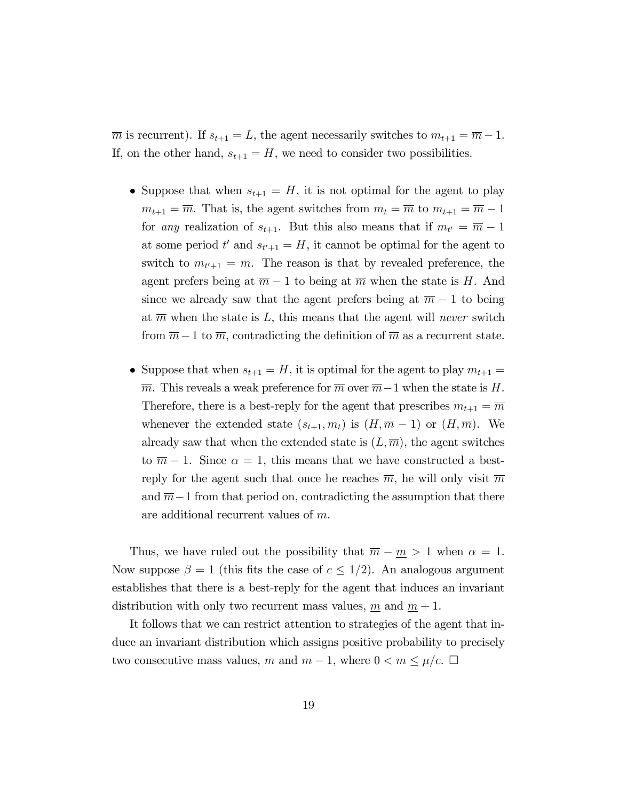$\overline{m}$  is recurrent). If  $s_{t+1} = L$ , the agent necessarily switches to  $m_{t+1} = \overline{m} - 1$ . If, on the other hand,  $s_{t+1} = H$ , we need to consider two possibilities.

- Suppose that when  $s_{t+1} = H$ , it is not optimal for the agent to play  $m_{t+1} = \overline{m}$ . That is, the agent switches from  $m_t = \overline{m}$  to  $m_{t+1} = \overline{m} - 1$ for *any* realization of  $s_{t+1}$ . But this also means that if  $m_{t'} = \overline{m} - 1$ at some period  $t'$  and  $s_{t'+1} = H$ , it cannot be optimal for the agent to switch to  $m_{t'+1} = \overline{m}$ . The reason is that by revealed preference, the agent prefers being at  $\overline{m} - 1$  to being at  $\overline{m}$  when the state is H. And since we already saw that the agent prefers being at  $\overline{m} - 1$  to being at  $\overline{m}$  when the state is L, this means that the agent will never switch from  $\overline{m}-1$  to  $\overline{m}$ , contradicting the definition of  $\overline{m}$  as a recurrent state.
- Suppose that when  $s_{t+1} = H$ , it is optimal for the agent to play  $m_{t+1} =$  $\overline{m}$ . This reveals a weak preference for  $\overline{m}$  over  $\overline{m}-1$  when the state is H. Therefore, there is a best-reply for the agent that prescribes  $m_{t+1} = \overline{m}$ whenever the extended state  $(s_{t+1}, m_t)$  is  $(H, \overline{m} - 1)$  or  $(H, \overline{m})$ . We already saw that when the extended state is  $(L, \overline{m})$ , the agent switches to  $\overline{m} - 1$ . Since  $\alpha = 1$ , this means that we have constructed a bestreply for the agent such that once he reaches  $\overline{m}$ , he will only visit  $\overline{m}$ and  $\overline{m-1}$  from that period on, contradicting the assumption that there are additional recurrent values of m.

Thus, we have ruled out the possibility that  $\overline{m} - \underline{m} > 1$  when  $\alpha = 1$ . Now suppose  $\beta = 1$  (this fits the case of  $c \leq 1/2$ ). An analogous argument establishes that there is a best-reply for the agent that induces an invariant distribution with only two recurrent mass values, m and  $m + 1$ .

It follows that we can restrict attention to strategies of the agent that induce an invariant distribution which assigns positive probability to precisely two consecutive mass values, m and  $m-1$ , where  $0 < m \leq \mu/c$ .  $\Box$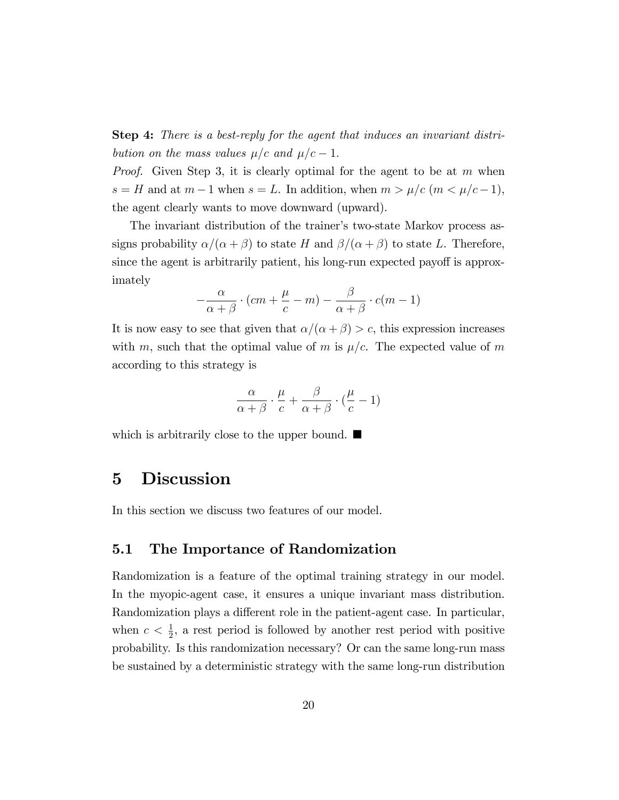Step 4: There is a best-reply for the agent that induces an invariant distribution on the mass values  $\mu/c$  and  $\mu/c - 1$ .

*Proof.* Given Step 3, it is clearly optimal for the agent to be at  $m$  when  $s = H$  and at  $m - 1$  when  $s = L$ . In addition, when  $m > \mu/c$   $(m < \mu/c - 1)$ , the agent clearly wants to move downward (upward).

The invariant distribution of the trainer's two-state Markov process assigns probability  $\alpha/(\alpha + \beta)$  to state H and  $\beta/(\alpha + \beta)$  to state L. Therefore, since the agent is arbitrarily patient, his long-run expected payoff is approximately

$$
-\frac{\alpha}{\alpha+\beta}\cdot (cm+\frac{\mu}{c}-m)-\frac{\beta}{\alpha+\beta}\cdot c(m-1)
$$

It is now easy to see that given that  $\alpha/(\alpha + \beta) > c$ , this expression increases with m, such that the optimal value of m is  $\mu/c$ . The expected value of m according to this strategy is

$$
\frac{\alpha}{\alpha+\beta}\cdot\frac{\mu}{c}+\frac{\beta}{\alpha+\beta}\cdot(\frac{\mu}{c}-1)
$$

which is arbitrarily close to the upper bound.  $\blacksquare$ 

### 5 Discussion

In this section we discuss two features of our model.

### 5.1 The Importance of Randomization

Randomization is a feature of the optimal training strategy in our model. In the myopic-agent case, it ensures a unique invariant mass distribution. Randomization plays a different role in the patient-agent case. In particular, when  $c < \frac{1}{2}$ , a rest period is followed by another rest period with positive probability. Is this randomization necessary? Or can the same long-run mass be sustained by a deterministic strategy with the same long-run distribution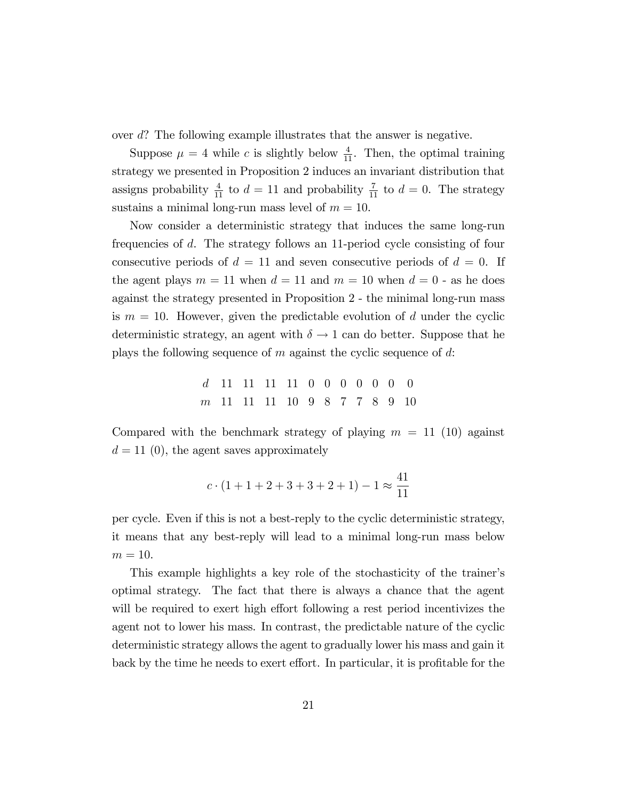over d? The following example illustrates that the answer is negative.

Suppose  $\mu = 4$  while c is slightly below  $\frac{4}{11}$ . Then, the optimal training strategy we presented in Proposition 2 induces an invariant distribution that assigns probability  $\frac{4}{11}$  to  $d = 11$  and probability  $\frac{7}{11}$  to  $d = 0$ . The strategy sustains a minimal long-run mass level of  $m = 10$ .

Now consider a deterministic strategy that induces the same long-run frequencies of d. The strategy follows an 11-period cycle consisting of four consecutive periods of  $d = 11$  and seven consecutive periods of  $d = 0$ . If the agent plays  $m = 11$  when  $d = 11$  and  $m = 10$  when  $d = 0$  - as he does against the strategy presented in Proposition 2 - the minimal long-run mass is  $m = 10$ . However, given the predictable evolution of d under the cyclic deterministic strategy, an agent with  $\delta \to 1$  can do better. Suppose that he plays the following sequence of  $m$  against the cyclic sequence of  $d$ :

> d 11 11 11 11 0 0 0 0 0 0 0 m 11 11 11 10 9 8 7 7 8 9 10

Compared with the benchmark strategy of playing  $m = 11$  (10) against  $d = 11$  (0), the agent saves approximately

$$
c \cdot (1 + 1 + 2 + 3 + 3 + 2 + 1) - 1 \approx \frac{41}{11}
$$

per cycle. Even if this is not a best-reply to the cyclic deterministic strategy, it means that any best-reply will lead to a minimal long-run mass below  $m = 10$ .

This example highlights a key role of the stochasticity of the trainer's optimal strategy. The fact that there is always a chance that the agent will be required to exert high effort following a rest period incentivizes the agent not to lower his mass. In contrast, the predictable nature of the cyclic deterministic strategy allows the agent to gradually lower his mass and gain it back by the time he needs to exert effort. In particular, it is profitable for the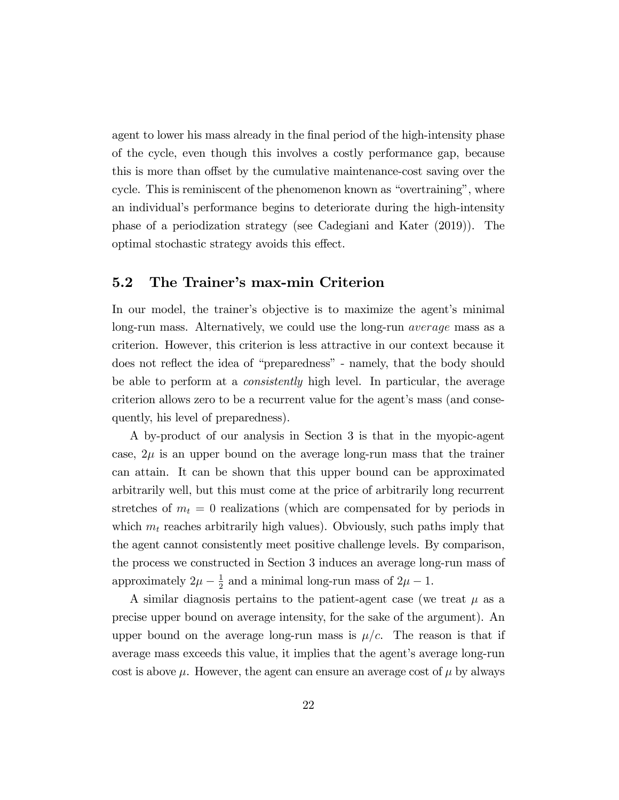agent to lower his mass already in the final period of the high-intensity phase of the cycle, even though this involves a costly performance gap, because this is more than offset by the cumulative maintenance-cost saving over the cycle. This is reminiscent of the phenomenon known as "overtraining", where an individual's performance begins to deteriorate during the high-intensity phase of a periodization strategy (see Cadegiani and Kater (2019)). The optimal stochastic strategy avoids this effect.

### 5.2 The Trainer's max-min Criterion

In our model, the trainer's objective is to maximize the agent's minimal long-run mass. Alternatively, we could use the long-run average mass as a criterion. However, this criterion is less attractive in our context because it does not reflect the idea of "preparedness" - namely, that the body should be able to perform at a consistently high level. In particular, the average criterion allows zero to be a recurrent value for the agent's mass (and consequently, his level of preparedness).

A by-product of our analysis in Section 3 is that in the myopic-agent case,  $2\mu$  is an upper bound on the average long-run mass that the trainer can attain. It can be shown that this upper bound can be approximated arbitrarily well, but this must come at the price of arbitrarily long recurrent stretches of  $m_t = 0$  realizations (which are compensated for by periods in which  $m_t$  reaches arbitrarily high values). Obviously, such paths imply that the agent cannot consistently meet positive challenge levels. By comparison, the process we constructed in Section 3 induces an average long-run mass of approximately  $2\mu - \frac{1}{2}$  $\frac{1}{2}$  and a minimal long-run mass of  $2\mu - 1$ .

A similar diagnosis pertains to the patient-agent case (we treat  $\mu$  as a precise upper bound on average intensity, for the sake of the argument). An upper bound on the average long-run mass is  $\mu/c$ . The reason is that if average mass exceeds this value, it implies that the agent's average long-run cost is above  $\mu$ . However, the agent can ensure an average cost of  $\mu$  by always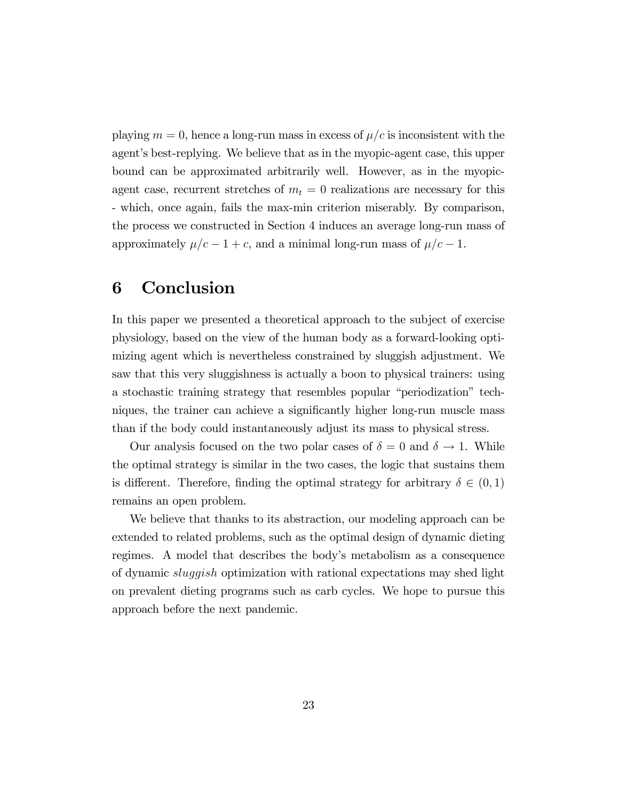playing  $m = 0$ , hence a long-run mass in excess of  $\mu/c$  is inconsistent with the agent's best-replying. We believe that as in the myopic-agent case, this upper bound can be approximated arbitrarily well. However, as in the myopicagent case, recurrent stretches of  $m_t = 0$  realizations are necessary for this - which, once again, fails the max-min criterion miserably. By comparison, the process we constructed in Section 4 induces an average long-run mass of approximately  $\mu/c - 1 + c$ , and a minimal long-run mass of  $\mu/c - 1$ .

# 6 Conclusion

In this paper we presented a theoretical approach to the subject of exercise physiology, based on the view of the human body as a forward-looking optimizing agent which is nevertheless constrained by sluggish adjustment. We saw that this very sluggishness is actually a boon to physical trainers: using a stochastic training strategy that resembles popular "periodization" techniques, the trainer can achieve a significantly higher long-run muscle mass than if the body could instantaneously adjust its mass to physical stress.

Our analysis focused on the two polar cases of  $\delta = 0$  and  $\delta \rightarrow 1$ . While the optimal strategy is similar in the two cases, the logic that sustains them is different. Therefore, finding the optimal strategy for arbitrary  $\delta \in (0,1)$ remains an open problem.

We believe that thanks to its abstraction, our modeling approach can be extended to related problems, such as the optimal design of dynamic dieting regimes. A model that describes the bodyís metabolism as a consequence of dynamic sluggish optimization with rational expectations may shed light on prevalent dieting programs such as carb cycles. We hope to pursue this approach before the next pandemic.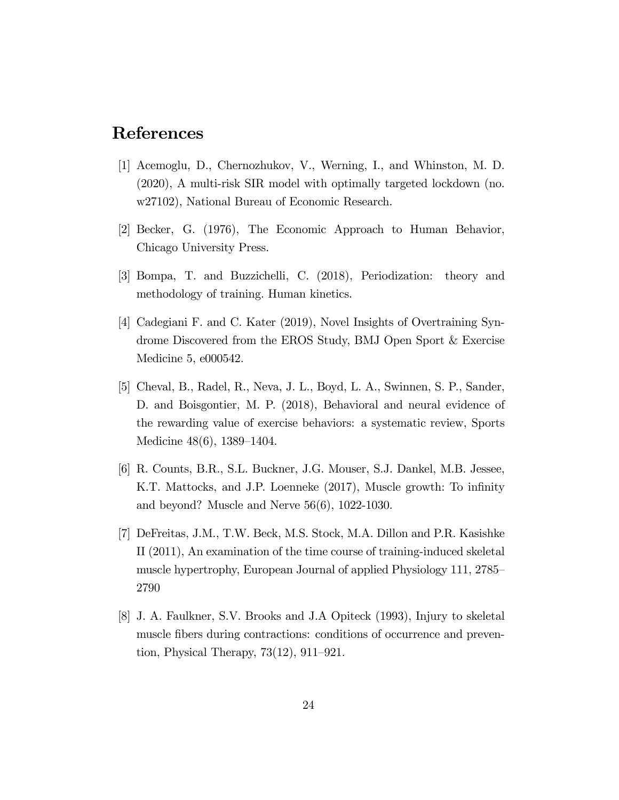### References

- [1] Acemoglu, D., Chernozhukov, V., Werning, I., and Whinston, M. D. (2020), A multi-risk SIR model with optimally targeted lockdown (no. w27102), National Bureau of Economic Research.
- [2] Becker, G. (1976), The Economic Approach to Human Behavior, Chicago University Press.
- [3] Bompa, T. and Buzzichelli, C. (2018), Periodization: theory and methodology of training. Human kinetics.
- [4] Cadegiani F. and C. Kater (2019), Novel Insights of Overtraining Syndrome Discovered from the EROS Study, BMJ Open Sport & Exercise Medicine 5, e000542.
- [5] Cheval, B., Radel, R., Neva, J. L., Boyd, L. A., Swinnen, S. P., Sander, D. and Boisgontier, M. P. (2018), Behavioral and neural evidence of the rewarding value of exercise behaviors: a systematic review, Sports Medicine  $48(6)$ , 1389–1404.
- [6] R. Counts, B.R., S.L. Buckner, J.G. Mouser, S.J. Dankel, M.B. Jessee, K.T. Mattocks, and J.P. Loenneke (2017), Muscle growth: To infinity and beyond? Muscle and Nerve 56(6), 1022-1030.
- [7] DeFreitas, J.M., T.W. Beck, M.S. Stock, M.A. Dillon and P.R. Kasishke II (2011), An examination of the time course of training-induced skeletal muscle hypertrophy, European Journal of applied Physiology 111, 2785 2790
- [8] J. A. Faulkner, S.V. Brooks and J.A Opiteck (1993), Injury to skeletal muscle fibers during contractions: conditions of occurrence and prevention, Physical Therapy,  $73(12)$ ,  $911-921$ .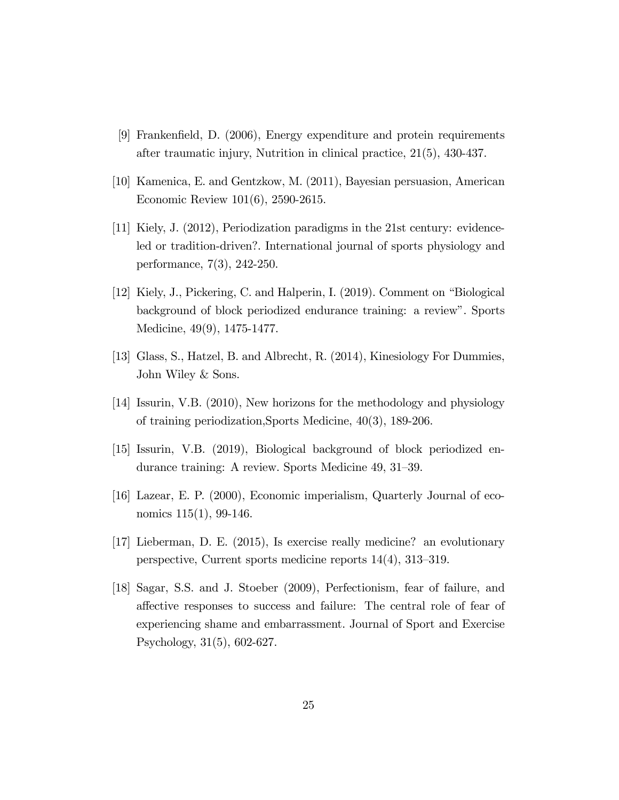- [9] FrankenÖeld, D. (2006), Energy expenditure and protein requirements after traumatic injury, Nutrition in clinical practice, 21(5), 430-437.
- [10] Kamenica, E. and Gentzkow, M. (2011), Bayesian persuasion, American Economic Review 101(6), 2590-2615.
- [11] Kiely, J. (2012), Periodization paradigms in the 21st century: evidenceled or tradition-driven?. International journal of sports physiology and performance, 7(3), 242-250.
- [12] Kiely, J., Pickering, C. and Halperin, I.  $(2019)$ . Comment on "Biological" background of block periodized endurance training: a review". Sports Medicine, 49(9), 1475-1477.
- [13] Glass, S., Hatzel, B. and Albrecht, R. (2014), Kinesiology For Dummies, John Wiley & Sons.
- [14] Issurin, V.B. (2010), New horizons for the methodology and physiology of training periodization,Sports Medicine, 40(3), 189-206.
- [15] Issurin, V.B. (2019), Biological background of block periodized endurance training: A review. Sports Medicine  $49, 31-39$ .
- [16] Lazear, E. P. (2000), Economic imperialism, Quarterly Journal of economics 115(1), 99-146.
- [17] Lieberman, D. E. (2015), Is exercise really medicine? an evolutionary perspective, Current sports medicine reports  $14(4)$ ,  $313-319$ .
- [18] Sagar, S.S. and J. Stoeber (2009), Perfectionism, fear of failure, and a§ective responses to success and failure: The central role of fear of experiencing shame and embarrassment. Journal of Sport and Exercise Psychology, 31(5), 602-627.